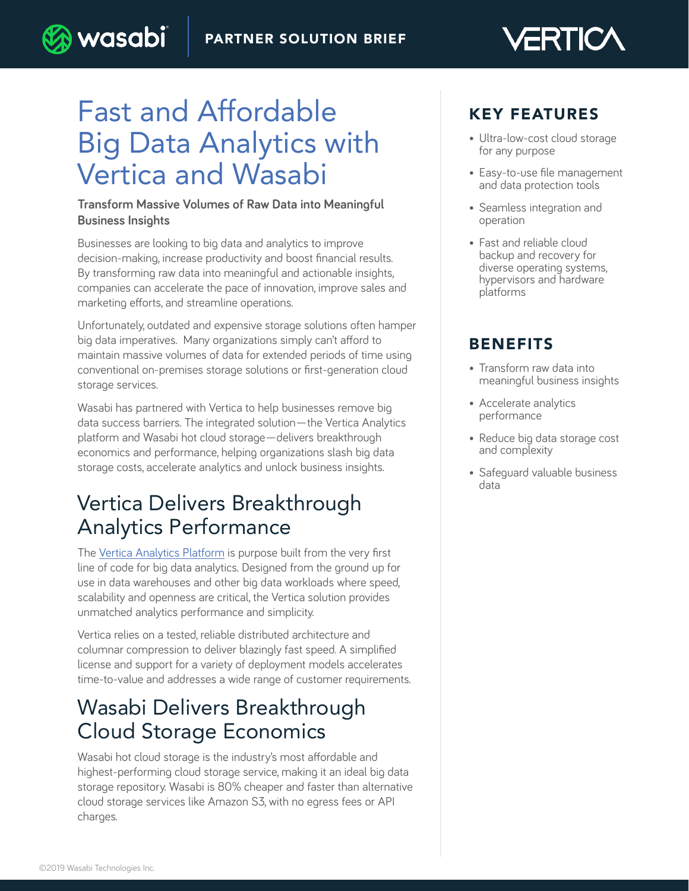# Fast and Affordable Big Data Analytics with Vertica and Wasabi

) wasabi

#### **Transform Massive Volumes of Raw Data into Meaningful Business Insights**

Businesses are looking to big data and analytics to improve decision-making, increase productivity and boost financial results. By transforming raw data into meaningful and actionable insights, companies can accelerate the pace of innovation, improve sales and marketing efforts, and streamline operations.

Unfortunately, outdated and expensive storage solutions often hamper big data imperatives. Many organizations simply can't afford to maintain massive volumes of data for extended periods of time using conventional on-premises storage solutions or first-generation cloud storage services.

Wasabi has partnered with Vertica to help businesses remove big data success barriers. The integrated solution—the Vertica Analytics platform and Wasabi hot cloud storage—delivers breakthrough economics and performance, helping organizations slash big data storage costs, accelerate analytics and unlock business insights.

# Vertica Delivers Breakthrough Analytics Performance

The [Vertica Analytics Platform](https://www.vertica.com/) is purpose built from the very first line of code for big data analytics. Designed from the ground up for use in data warehouses and other big data workloads where speed, scalability and openness are critical, the Vertica solution provides unmatched analytics performance and simplicity.

Vertica relies on a tested, reliable distributed architecture and columnar compression to deliver blazingly fast speed. A simplified license and support for a variety of deployment models accelerates time-to-value and addresses a wide range of customer requirements.

### Wasabi Delivers Breakthrough Cloud Storage Economics

Wasabi hot cloud storage is the industry's most affordable and highest-performing cloud storage service, making it an ideal big data storage repository. Wasabi is 80% cheaper and faster than alternative cloud storage services like Amazon S3, with no egress fees or API charges.

### KEY FEATURES

• Ultra-low-cost cloud storage for any purpose

ÆRT

- Easy-to-use file management and data protection tools
- Seamless integration and operation
- Fast and reliable cloud backup and recovery for diverse operating systems, hypervisors and hardware platforms

### BENEFITS

- Transform raw data into meaningful business insights
- Accelerate analytics performance
- Reduce big data storage cost and complexity
- Safeguard valuable business data